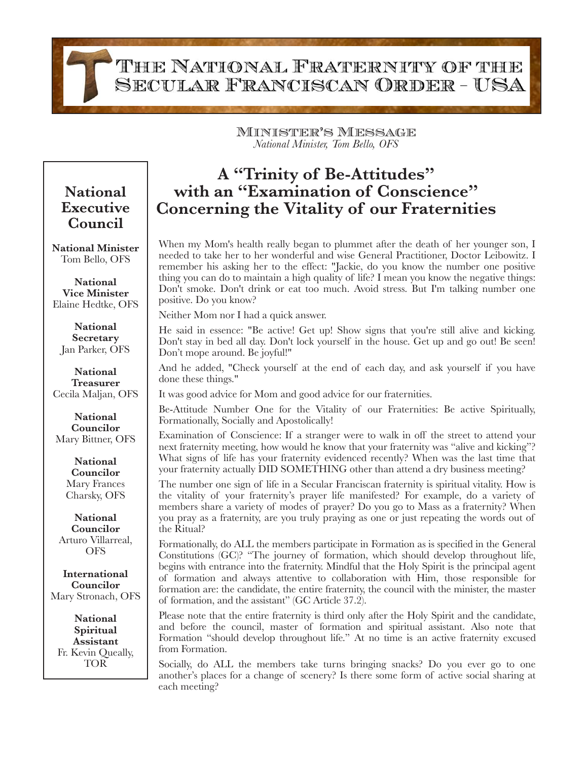THE NATIONAL FRATERNITY OF THE SECULAR FRANCISCAN ORDER - USA

> Minister's Message *National Minister, Tom Bello, OFS*

## **A "Trinity of Be-Attitudes" with an "Examination of Conscience" Concerning the Vitality of our Fraternities**

When my Mom's health really began to plummet after the death of her younger son, I needed to take her to her wonderful and wise General Practitioner, Doctor Leibowitz. I remember his asking her to the effect: "Jackie, do you know the number one positive thing you can do to maintain a high quality of life? I mean you know the negative things: Don't smoke. Don't drink or eat too much. Avoid stress. But I'm talking number one positive. Do you know?

Neither Mom nor I had a quick answer.

He said in essence: "Be active! Get up! Show signs that you're still alive and kicking. Don't stay in bed all day. Don't lock yourself in the house. Get up and go out! Be seen! Don't mope around. Be joyful!"

And he added, "Check yourself at the end of each day, and ask yourself if you have done these things."

It was good advice for Mom and good advice for our fraternities.

Be-Attitude Number One for the Vitality of our Fraternities: Be active Spiritually, Formationally, Socially and Apostolically!

Examination of Conscience: If a stranger were to walk in off the street to attend your next fraternity meeting, how would he know that your fraternity was "alive and kicking"? What signs of life has your fraternity evidenced recently? When was the last time that your fraternity actually DID SOMETHING other than attend a dry business meeting?

The number one sign of life in a Secular Franciscan fraternity is spiritual vitality. How is the vitality of your fraternity's prayer life manifested? For example, do a variety of members share a variety of modes of prayer? Do you go to Mass as a fraternity? When you pray as a fraternity, are you truly praying as one or just repeating the words out of the Ritual?

Formationally, do ALL the members participate in Formation as is specified in the General Constitutions (GC)? "The journey of formation, which should develop throughout life, begins with entrance into the fraternity. Mindful that the Holy Spirit is the principal agent of formation and always attentive to collaboration with Him, those responsible for formation are: the candidate, the entire fraternity, the council with the minister, the master of formation, and the assistant" (GC Article 37.2).

Please note that the entire fraternity is third only after the Holy Spirit and the candidate, and before the council, master of formation and spiritual assistant. Also note that Formation "should develop throughout life." At no time is an active fraternity excused from Formation.

Socially, do ALL the members take turns bringing snacks? Do you ever go to one another's places for a change of scenery? Is there some form of active social sharing at each meeting?

## **National Executive Council**

**National Minister** Tom Bello, OFS

**National Vice Minister** Elaine Hedtke, OFS

**National Secretary** Jan Parker, OFS

**National Treasurer** Cecila Maljan, OFS

**National Councilor** Mary Bittner, OFS

> **National Councilor** Mary Frances Charsky, OFS

**National Councilor** Arturo Villarreal, **OFS** 

**International Councilor** Mary Stronach, OFS

**National Spiritual Assistant** Fr. Kevin Queally, TOR